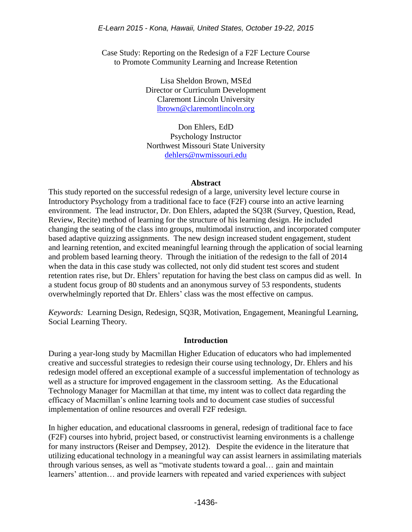Case Study: Reporting on the Redesign of a F2F Lecture Course to Promote Community Learning and Increase Retention

> Lisa Sheldon Brown, MSEd Director or Curriculum Development Claremont Lincoln University [lbrown@claremontlincoln.org](mailto:lbrown@claremontlincoln.org)

Don Ehlers, EdD Psychology Instructor Northwest Missouri State University [dehlers@nwmissouri.edu](mailto:dehlers@nwmissouri.edu)

### **Abstract**

This study reported on the successful redesign of a large, university level lecture course in Introductory Psychology from a traditional face to face (F2F) course into an active learning environment. The lead instructor, Dr. Don Ehlers, adapted the SQ3R (Survey, Question, Read, Review, Recite) method of learning for the structure of his learning design. He included changing the seating of the class into groups, multimodal instruction, and incorporated computer based adaptive quizzing assignments. The new design increased student engagement, student and learning retention, and excited meaningful learning through the application of social learning and problem based learning theory. Through the initiation of the redesign to the fall of 2014 when the data in this case study was collected, not only did student test scores and student retention rates rise, but Dr. Ehlers' reputation for having the best class on campus did as well. In a student focus group of 80 students and an anonymous survey of 53 respondents, students overwhelmingly reported that Dr. Ehlers' class was the most effective on campus.

*Keywords:* Learning Design, Redesign, SQ3R, Motivation, Engagement, Meaningful Learning, Social Learning Theory.

### **Introduction**

During a year-long study by Macmillan Higher Education of educators who had implemented creative and successful strategies to redesign their course using technology, Dr. Ehlers and his redesign model offered an exceptional example of a successful implementation of technology as well as a structure for improved engagement in the classroom setting. As the Educational Technology Manager for Macmillan at that time, my intent was to collect data regarding the efficacy of Macmillan's online learning tools and to document case studies of successful implementation of online resources and overall F2F redesign.

In higher education, and educational classrooms in general, redesign of traditional face to face (F2F) courses into hybrid, project based, or constructivist learning environments is a challenge for many instructors (Reiser and Dempsey, 2012). Despite the evidence in the literature that utilizing educational technology in a meaningful way can assist learners in assimilating materials through various senses, as well as "motivate students toward a goal… gain and maintain learners' attention… and provide learners with repeated and varied experiences with subject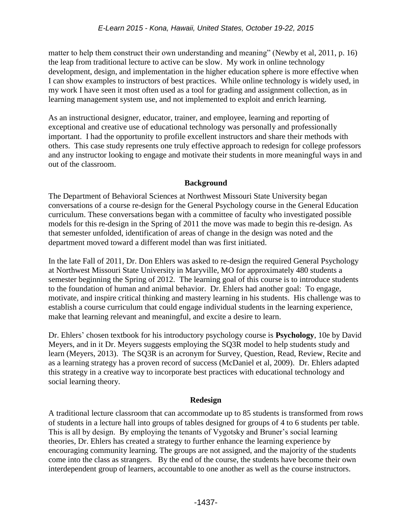matter to help them construct their own understanding and meaning" (Newby et al, 2011, p. 16) the leap from traditional lecture to active can be slow. My work in online technology development, design, and implementation in the higher education sphere is more effective when I can show examples to instructors of best practices. While online technology is widely used, in my work I have seen it most often used as a tool for grading and assignment collection, as in learning management system use, and not implemented to exploit and enrich learning.

As an instructional designer, educator, trainer, and employee, learning and reporting of exceptional and creative use of educational technology was personally and professionally important. I had the opportunity to profile excellent instructors and share their methods with others. This case study represents one truly effective approach to redesign for college professors and any instructor looking to engage and motivate their students in more meaningful ways in and out of the classroom.

# **Background**

The Department of Behavioral Sciences at Northwest Missouri State University began conversations of a course re-design for the General Psychology course in the General Education curriculum. These conversations began with a committee of faculty who investigated possible models for this re-design in the Spring of 2011 the move was made to begin this re-design. As that semester unfolded, identification of areas of change in the design was noted and the department moved toward a different model than was first initiated.

In the late Fall of 2011, Dr. Don Ehlers was asked to re-design the required General Psychology at Northwest Missouri State University in Maryville, MO for approximately 480 students a semester beginning the Spring of 2012. The learning goal of this course is to introduce students to the foundation of human and animal behavior. Dr. Ehlers had another goal: To engage, motivate, and inspire critical thinking and mastery learning in his students. His challenge was to establish a course curriculum that could engage individual students in the learning experience, make that learning relevant and meaningful, and excite a desire to learn.

Dr. Ehlers' chosen textbook for his introductory psychology course is **Psychology**, 10e by David Meyers, and in it Dr. Meyers suggests employing the SQ3R model to help students study and learn (Meyers, 2013). The SQ3R is an acronym for Survey, Question, Read, Review, Recite and as a learning strategy has a proven record of success (McDaniel et al, 2009). Dr. Ehlers adapted this strategy in a creative way to incorporate best practices with educational technology and social learning theory.

## **Redesign**

A traditional lecture classroom that can accommodate up to 85 students is transformed from rows of students in a lecture hall into groups of tables designed for groups of 4 to 6 students per table. This is all by design. By employing the tenants of Vygotsky and Bruner's social learning theories, Dr. Ehlers has created a strategy to further enhance the learning experience by encouraging community learning. The groups are not assigned, and the majority of the students come into the class as strangers. By the end of the course, the students have become their own interdependent group of learners, accountable to one another as well as the course instructors.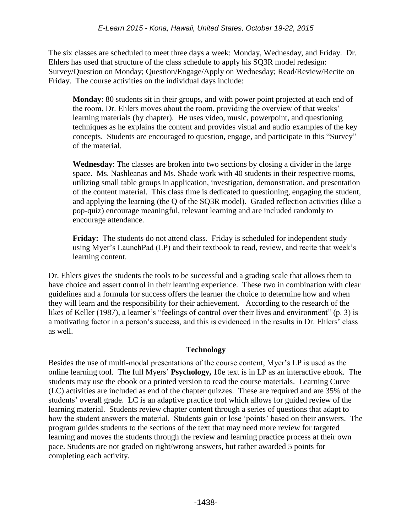The six classes are scheduled to meet three days a week: Monday, Wednesday, and Friday. Dr. Ehlers has used that structure of the class schedule to apply his SQ3R model redesign: Survey/Question on Monday; Question/Engage/Apply on Wednesday; Read/Review/Recite on Friday. The course activities on the individual days include:

**Monday**: 80 students sit in their groups, and with power point projected at each end of the room, Dr. Ehlers moves about the room, providing the overview of that weeks' learning materials (by chapter). He uses video, music, powerpoint, and questioning techniques as he explains the content and provides visual and audio examples of the key concepts. Students are encouraged to question, engage, and participate in this "Survey" of the material.

**Wednesday**: The classes are broken into two sections by closing a divider in the large space. Ms. Nashleanas and Ms. Shade work with 40 students in their respective rooms, utilizing small table groups in application, investigation, demonstration, and presentation of the content material. This class time is dedicated to questioning, engaging the student, and applying the learning (the Q of the SQ3R model). Graded reflection activities (like a pop-quiz) encourage meaningful, relevant learning and are included randomly to encourage attendance.

**Friday:** The students do not attend class. Friday is scheduled for independent study using Myer's LaunchPad (LP) and their textbook to read, review, and recite that week's learning content.

Dr. Ehlers gives the students the tools to be successful and a grading scale that allows them to have choice and assert control in their learning experience. These two in combination with clear guidelines and a formula for success offers the learner the choice to determine how and when they will learn and the responsibility for their achievement. According to the research of the likes of Keller (1987), a learner's "feelings of control over their lives and environment" (p. 3) is a motivating factor in a person's success, and this is evidenced in the results in Dr. Ehlers' class as well.

# **Technology**

Besides the use of multi-modal presentations of the course content, Myer's LP is used as the online learning tool. The full Myers' **Psychology,** 10e text is in LP as an interactive ebook. The students may use the ebook or a printed version to read the course materials. Learning Curve (LC) activities are included as end of the chapter quizzes. These are required and are 35% of the students' overall grade. LC is an adaptive practice tool which allows for guided review of the learning material. Students review chapter content through a series of questions that adapt to how the student answers the material. Students gain or lose 'points' based on their answers. The program guides students to the sections of the text that may need more review for targeted learning and moves the students through the review and learning practice process at their own pace. Students are not graded on right/wrong answers, but rather awarded 5 points for completing each activity.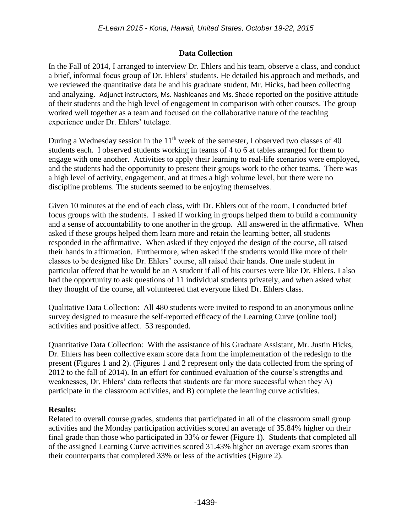# **Data Collection**

In the Fall of 2014, I arranged to interview Dr. Ehlers and his team, observe a class, and conduct a brief, informal focus group of Dr. Ehlers' students. He detailed his approach and methods, and we reviewed the quantitative data he and his graduate student, Mr. Hicks, had been collecting and analyzing. Adjunct instructors, Ms. Nashleanas and Ms. Shade reported on the positive attitude of their students and the high level of engagement in comparison with other courses. The group worked well together as a team and focused on the collaborative nature of the teaching experience under Dr. Ehlers' tutelage.

During a Wednesday session in the  $11<sup>th</sup>$  week of the semester, I observed two classes of 40 students each. I observed students working in teams of 4 to 6 at tables arranged for them to engage with one another. Activities to apply their learning to real-life scenarios were employed, and the students had the opportunity to present their groups work to the other teams. There was a high level of activity, engagement, and at times a high volume level, but there were no discipline problems. The students seemed to be enjoying themselves.

Given 10 minutes at the end of each class, with Dr. Ehlers out of the room, I conducted brief focus groups with the students. I asked if working in groups helped them to build a community and a sense of accountability to one another in the group. All answered in the affirmative. When asked if these groups helped them learn more and retain the learning better, all students responded in the affirmative. When asked if they enjoyed the design of the course, all raised their hands in affirmation. Furthermore, when asked if the students would like more of their classes to be designed like Dr. Ehlers' course, all raised their hands. One male student in particular offered that he would be an A student if all of his courses were like Dr. Ehlers. I also had the opportunity to ask questions of 11 individual students privately, and when asked what they thought of the course, all volunteered that everyone liked Dr. Ehlers class.

Qualitative Data Collection: All 480 students were invited to respond to an anonymous online survey designed to measure the self-reported efficacy of the Learning Curve (online tool) activities and positive affect. 53 responded.

Quantitative Data Collection: With the assistance of his Graduate Assistant, Mr. Justin Hicks, Dr. Ehlers has been collective exam score data from the implementation of the redesign to the present (Figures 1 and 2). (Figures 1 and 2 represent only the data collected from the spring of 2012 to the fall of 2014). In an effort for continued evaluation of the course's strengths and weaknesses, Dr. Ehlers' data reflects that students are far more successful when they A) participate in the classroom activities, and B) complete the learning curve activities.

## **Results:**

Related to overall course grades, students that participated in all of the classroom small group activities and the Monday participation activities scored an average of 35.84% higher on their final grade than those who participated in 33% or fewer (Figure 1). Students that completed all of the assigned Learning Curve activities scored 31.43% higher on average exam scores than their counterparts that completed 33% or less of the activities (Figure 2).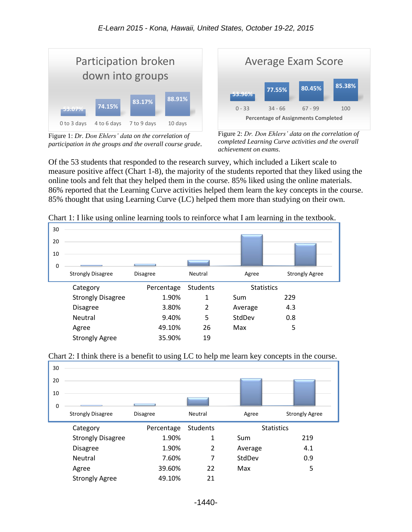

Figure 1: *Dr. Don Ehlers' data on the correlation of participation in the groups and the overall course grade*.



Figure 2: *Dr. Don Ehlers' data on the correlation of completed Learning Curve activities and the overall achievement on exams*.

Of the 53 students that responded to the research survey, which included a Likert scale to measure positive affect (Chart 1-8), the majority of the students reported that they liked using the online tools and felt that they helped them in the course. 85% liked using the online materials. 86% reported that the Learning Curve activities helped them learn the key concepts in the course. 85% thought that using Learning Curve (LC) helped them more than studying on their own.

|             | ັ                        | ັ               |                 |         | ັ                     |  |
|-------------|--------------------------|-----------------|-----------------|---------|-----------------------|--|
| 30          |                          |                 |                 |         |                       |  |
| 20          |                          |                 |                 |         |                       |  |
| 10          |                          |                 |                 |         |                       |  |
| $\mathbf 0$ |                          |                 |                 |         |                       |  |
|             | <b>Strongly Disagree</b> | <b>Disagree</b> | Neutral         | Agree   | <b>Strongly Agree</b> |  |
|             | Category                 | Percentage      | <b>Students</b> |         | <b>Statistics</b>     |  |
|             | <b>Strongly Disagree</b> | 1.90%           | 1               | Sum     | 229                   |  |
|             | <b>Disagree</b>          | 3.80%           | $\overline{2}$  | Average | 4.3                   |  |
|             | Neutral                  | 9.40%           | 5               | StdDev  | 0.8                   |  |
|             |                          |                 |                 |         |                       |  |
|             | Agree                    | 49.10%          | 26              | Max     | 5                     |  |

Chart 1: I like using online learning tools to reinforce what I am learning in the textbook.



Chart 2: I think there is a benefit to using LC to help me learn key concepts in the course.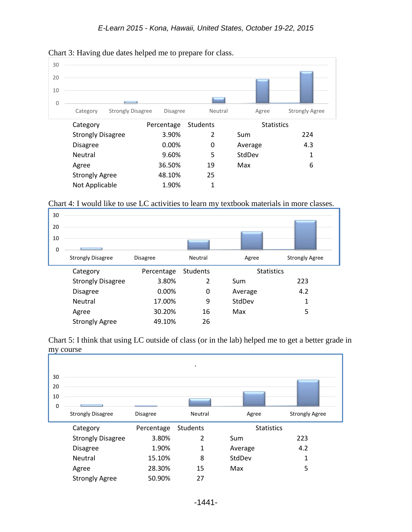

#### Chart 3: Having due dates helped me to prepare for class.

## Chart 4: I would like to use LC activities to learn my textbook materials in more classes.



Chart 5: I think that using LC outside of class (or in the lab) helped me to get a better grade in my course